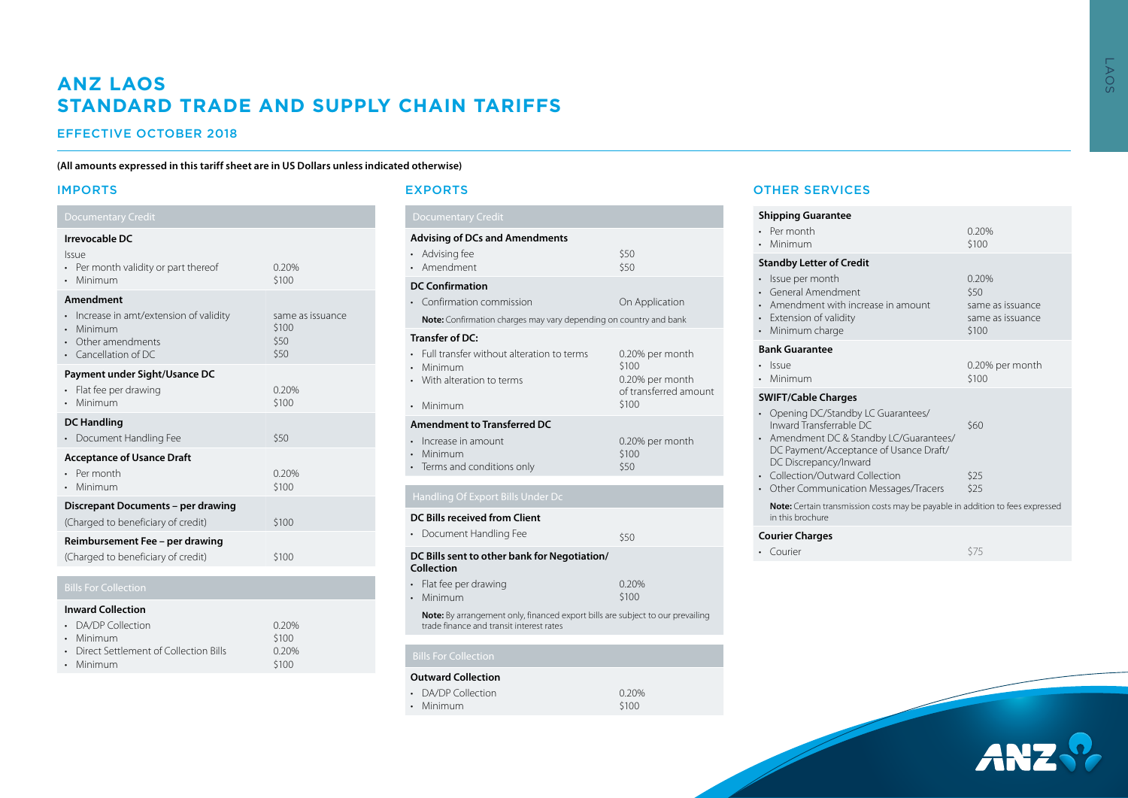# **ANZ LAOS STANDARD TRADE AND SUPPLY CHAIN TARIFFS**

# EFFECTIVE OCTOBER 2018

## **(All amounts expressed in this tariff sheet are in US Dollars unless indicated otherwise)**

# IMPORTS

#### **Irrevocable DC**  Issue • Per month validity or part thereof • Minimum 0.20% \$100 **Amendment**  • Increase in amt/extension of validity • Minimum • Other amendments • Cancellation of DC same as issuance \$100 \$50 \$50 **Payment under Sight/Usance DC** • Flat fee per drawing • Minimum 0.20% \$100 **DC Handling** • Document Handling Fee  $$50$ **Acceptance of Usance Draft** • Per month • Minimum 0.20% \$100 **Discrepant Documents – per drawing** (Charged to beneficiary of credit) \$100 **Reimbursement Fee – per drawing** (Charged to beneficiary of credit) \$100

# **Inward Collection**

| • DA/DP Collection                      | 0.20% |
|-----------------------------------------|-------|
| • Minimum                               | \$100 |
| • Direct Settlement of Collection Bills | 0.20% |
| • Minimum                               | \$100 |

## EXPORTS

| <b>Documentary Credit</b>                                                                                                                             |                                                                               |  |  |  |
|-------------------------------------------------------------------------------------------------------------------------------------------------------|-------------------------------------------------------------------------------|--|--|--|
| <b>Advising of DCs and Amendments</b><br>Advising fee<br>Amendment                                                                                    | \$50<br>\$50                                                                  |  |  |  |
| <b>DC Confirmation</b><br>Confirmation commission<br><b>Note:</b> Confirmation charges may vary depending on country and bank                         | On Application                                                                |  |  |  |
| Transfer of DC:<br>Full transfer without alteration to terms<br>$\bullet$<br>Minimum<br>$\bullet$<br>With alteration to terms<br>Minimum<br>$\bullet$ | 0.20% per month<br>\$100<br>0.20% per month<br>of transferred amount<br>\$100 |  |  |  |
| <b>Amendment to Transferred DC</b><br>Increase in amount<br>Minimum<br>$\bullet$<br>• Terms and conditions only                                       | 0.20% per month<br>\$100<br>\$50                                              |  |  |  |
| Handling Of Export Bills Under Dc                                                                                                                     |                                                                               |  |  |  |

#### **DC Bills received from Client**

|                             | • Document Handling Fee                                                                                                           | \$50           |  |  |  |
|-----------------------------|-----------------------------------------------------------------------------------------------------------------------------------|----------------|--|--|--|
|                             | DC Bills sent to other bank for Negotiation/<br>Collection                                                                        |                |  |  |  |
|                             | • Flat fee per drawing<br>• Minimum                                                                                               | 0.20%<br>\$100 |  |  |  |
|                             | <b>Note:</b> By arrangement only, financed export bills are subject to our prevailing<br>trade finance and transit interest rates |                |  |  |  |
|                             |                                                                                                                                   |                |  |  |  |
| <b>Bills For Collection</b> |                                                                                                                                   |                |  |  |  |

## **Outward Collection**

| • DA/DP Collection | 0.20% |
|--------------------|-------|
| • Minimum          | \$100 |
|                    |       |

# OTHER SERVICES

| <b>Shipping Guarantee</b>                                                                                                                                                |                                                                |  |  |  |  |
|--------------------------------------------------------------------------------------------------------------------------------------------------------------------------|----------------------------------------------------------------|--|--|--|--|
| Per month<br>Minimum                                                                                                                                                     | 0.20%<br>\$100                                                 |  |  |  |  |
| <b>Standby Letter of Credit</b>                                                                                                                                          |                                                                |  |  |  |  |
| Issue per month<br>General Amendment<br>Amendment with increase in amount<br>Extension of validity<br>Minimum charge                                                     | 0.20%<br>\$50<br>same as issuance<br>same as issuance<br>\$100 |  |  |  |  |
| <b>Bank Guarantee</b>                                                                                                                                                    |                                                                |  |  |  |  |
| <b>Issue</b><br>Minimum                                                                                                                                                  | 0.20% per month<br>\$100                                       |  |  |  |  |
| <b>SWIFT/Cable Charges</b>                                                                                                                                               |                                                                |  |  |  |  |
| Opening DC/Standby LC Guarantees/<br>Inward Transferrable DC<br>Amendment DC & Standby LC/Guarantees/<br>DC Payment/Acceptance of Usance Draft/<br>DC Discrepancy/Inward | \$60                                                           |  |  |  |  |
| Collection/Outward Collection<br>Other Communication Messages/Tracers                                                                                                    | \$25<br>\$25                                                   |  |  |  |  |
| Note: Certain transmission costs may be payable in addition to fees expressed<br>in this brochure                                                                        |                                                                |  |  |  |  |
| <b>Courier Charges</b>                                                                                                                                                   |                                                                |  |  |  |  |
| Courier                                                                                                                                                                  | \$75                                                           |  |  |  |  |
|                                                                                                                                                                          |                                                                |  |  |  |  |